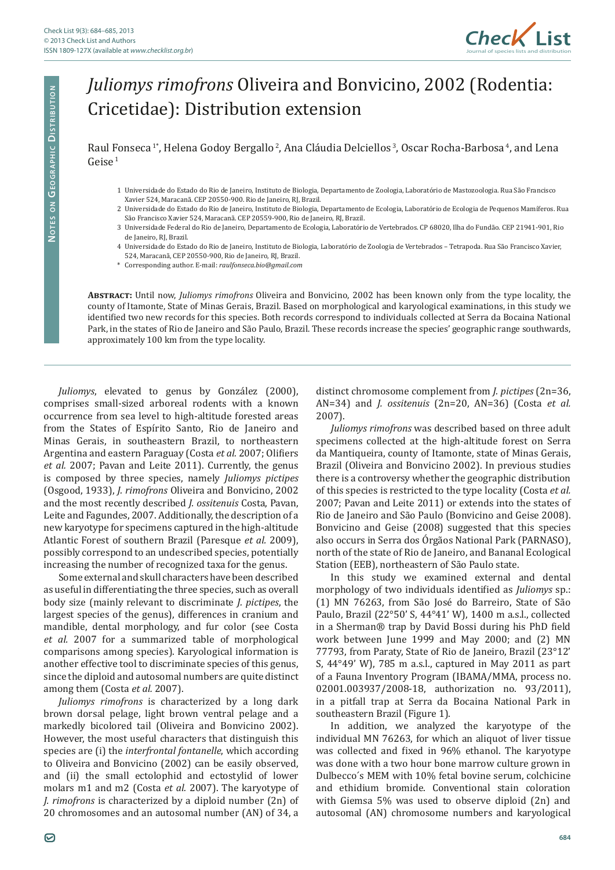

## *Juliomys rimofrons* Oliveira and Bonvicino, 2002 (Rodentia: Cricetidae): Distribution extension

Raul Fonseca<sup>1\*</sup>, Helena Godoy Bergallo<sup>2</sup>, Ana Cláudia Delciellos<sup>3</sup>, Oscar Rocha-Barbosa<sup>4</sup>, and Lena  $Geise<sup>1</sup>$ 

- 1 Universidade do Estado do Rio de Janeiro, Instituto de Biologia, Departamento de Zoologia, Laboratório de Mastozoologia. Rua São Francisco Xavier 524, Maracanã. CEP 20550-900. Rio de Janeiro, RJ, Brazil.
- 2 Universidade do Estado do Rio de Janeiro, Instituto de Biologia, Departamento de Ecologia, Laboratório de Ecologia de Pequenos Mamíferos. Rua São Francisco Xavier 524, Maracanã. CEP 20559-900, Rio de Janeiro, RJ, Brazil.
- 3 Universidade Federal do Rio de Janeiro, Departamento de Ecologia, Laboratório de Vertebrados. CP 68020, Ilha do Fundão. CEP 21941-901, Rio de Janeiro, RJ, Brazil.
- 4 Universidade do Estado do Rio de Janeiro, Instituto de Biologia, Laboratório de Zoologia de Vertebrados Tetrapoda. Rua São Francisco Xavier, 524, Maracanã, CEP 20550-900, Rio de Janeiro, RJ, Brazil.
- \* Corresponding author. E-mail: *raulfonseca.bio@gmail.com*

**Abstract:** Until now, *Juliomys rimofrons* Oliveira and Bonvicino, 2002 has been known only from the type locality, the county of Itamonte, State of Minas Gerais, Brazil. Based on morphological and karyological examinations, in this study we identified two new records for this species. Both records correspond to individuals collected at Serra da Bocaina National Park, in the states of Rio de Janeiro and São Paulo, Brazil. These records increase the species' geographic range southwards, approximately 100 km from the type locality.

*Juliomys*, elevated to genus by González (2000), comprises small-sized arboreal rodents with a known occurrence from sea level to high-altitude forested areas from the States of Espírito Santo, Rio de Janeiro and Minas Gerais, in southeastern Brazil, to northeastern Argentina and eastern Paraguay (Costa *et al.* 2007; Olifiers *et al.* 2007; Pavan and Leite 2011). Currently, the genus is composed by three species, namely *Juliomys pictipes* (Osgood, 1933), *J. rimofrons* Oliveira and Bonvicino, 2002 and the most recently described *J. ossitenuis* Costa, Pavan, Leite and Fagundes, 2007. Additionally, the description of a new karyotype for specimens captured in the high-altitude Atlantic Forest of southern Brazil (Paresque *et al.* 2009), possibly correspond to an undescribed species, potentially increasing the number of recognized taxa for the genus.

Some external and skull characters have been described as useful in differentiating the three species, such as overall body size (mainly relevant to discriminate *J. pictipes*, the largest species of the genus), differences in cranium and mandible, dental morphology, and fur color (see Costa *et al.* 2007 for a summarized table of morphological comparisons among species). Karyological information is another effective tool to discriminate species of this genus, since the diploid and autosomal numbers are quite distinct among them (Costa *et al.* 2007).

*Juliomys rimofrons* is characterized by a long dark brown dorsal pelage, light brown ventral pelage and a markedly bicolored tail (Oliveira and Bonvicino 2002). However, the most useful characters that distinguish this species are (i) the *interfrontal fontanelle*, which according to Oliveira and Bonvicino (2002) can be easily observed, and (ii) the small ectolophid and ectostylid of lower molars m1 and m2 (Costa *et al.* 2007). The karyotype of *J. rimofrons* is characterized by a diploid number (2n) of 20 chromosomes and an autosomal number (AN) of 34, a

distinct chromosome complement from *J. pictipes* (2n=36, AN=34) and *J. ossitenuis* (2n=20, AN=36) (Costa *et al.* 2007).

*Juliomys rimofrons* was described based on three adult specimens collected at the high-altitude forest on Serra da Mantiqueira, county of Itamonte, state of Minas Gerais, Brazil (Oliveira and Bonvicino 2002). In previous studies there is a controversy whether the geographic distribution of this species is restricted to the type locality (Costa *et al.* 2007; Pavan and Leite 2011) or extends into the states of Rio de Janeiro and São Paulo (Bonvicino and Geise 2008). Bonvicino and Geise (2008) suggested that this species also occurs in Serra dos Órgãos National Park (PARNASO), north of the state of Rio de Janeiro, and Bananal Ecological Station (EEB), northeastern of São Paulo state.

In this study we examined external and dental morphology of two individuals identified as *Juliomys* sp.: (1) MN 76263, from São José do Barreiro, State of São Paulo, Brazil (22°50' S, 44°41' W), 1400 m a.s.l., collected in a Sherman® trap by David Bossi during his PhD field work between June 1999 and May 2000; and (2) MN 77793, from Paraty, State of Rio de Janeiro, Brazil (23°12' S, 44°49' W), 785 m a.s.l., captured in May 2011 as part of a Fauna Inventory Program (IBAMA/MMA, process no. 02001.003937/2008-18, authorization no. 93/2011), in a pitfall trap at Serra da Bocaina National Park in southeastern Brazil (Figure 1).

In addition, we analyzed the karyotype of the individual MN 76263, for which an aliquot of liver tissue was collected and fixed in 96% ethanol. The karyotype was done with a two hour bone marrow culture grown in Dulbecco´s MEM with 10% fetal bovine serum, colchicine and ethidium bromide. Conventional stain coloration with Giemsa 5% was used to observe diploid (2n) and autosomal (AN) chromosome numbers and karyological